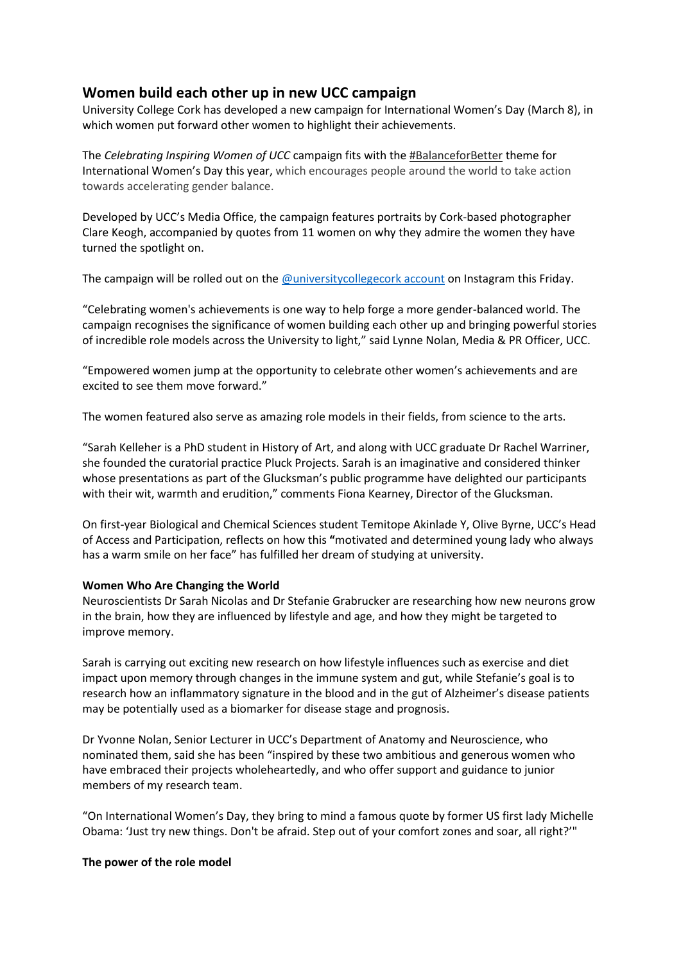## **Women build each other up in new UCC campaign**

University College Cork has developed a new campaign for International Women's Day (March 8), in which women put forward other women to highlight their achievements.

The *Celebrating Inspiring Women of UCC* campaign fits with the [#BalanceforBetter](https://www.internationalwomensday.com/Theme) theme for International Women's Day this year, which encourages people around the world to take action towards accelerating gender balance.

Developed by UCC's Media Office, the campaign features portraits by Cork-based photographer Clare Keogh, accompanied by quotes from 11 women on why they admire the women they have turned the spotlight on.

The campaign will be rolled out on the [@universitycollegecork account](https://www.instagram.com/universitycollegecork/) on Instagram this Friday.

"Celebrating women's achievements is one way to help forge a more gender-balanced world. The campaign recognises the significance of women building each other up and bringing powerful stories of incredible role models across the University to light," said Lynne Nolan, Media & PR Officer, UCC.

"Empowered women jump at the opportunity to celebrate other women's achievements and are excited to see them move forward."

The women featured also serve as amazing role models in their fields, from science to the arts.

"Sarah Kelleher is a PhD student in History of Art, and along with UCC graduate Dr Rachel Warriner, she founded the curatorial practice Pluck Projects. Sarah is an imaginative and considered thinker whose presentations as part of the Glucksman's public programme have delighted our participants with their wit, warmth and erudition," comments Fiona Kearney, Director of the Glucksman.

On first-year Biological and Chemical Sciences student Temitope Akinlade Y, Olive Byrne, UCC's Head of Access and Participation, reflects on how this **"**motivated and determined young lady who always has a warm smile on her face" has fulfilled her dream of studying at university.

## **Women Who Are Changing the World**

Neuroscientists Dr Sarah Nicolas and Dr Stefanie Grabrucker are researching how new neurons grow in the brain, how they are influenced by lifestyle and age, and how they might be targeted to improve memory.

Sarah is carrying out exciting new research on how lifestyle influences such as exercise and diet impact upon memory through changes in the immune system and gut, while Stefanie's goal is to research how an inflammatory signature in the blood and in the gut of Alzheimer's disease patients may be potentially used as a biomarker for disease stage and prognosis.

Dr Yvonne Nolan, Senior Lecturer in UCC's Department of Anatomy and Neuroscience, who nominated them, said she has been "inspired by these two ambitious and generous women who have embraced their projects wholeheartedly, and who offer support and guidance to junior members of my research team.

"On International Women's Day, they bring to mind a famous quote by former US first lady Michelle Obama: 'Just try new things. Don't be afraid. Step out of your comfort zones and soar, all right?'"

## **The power of the role model**